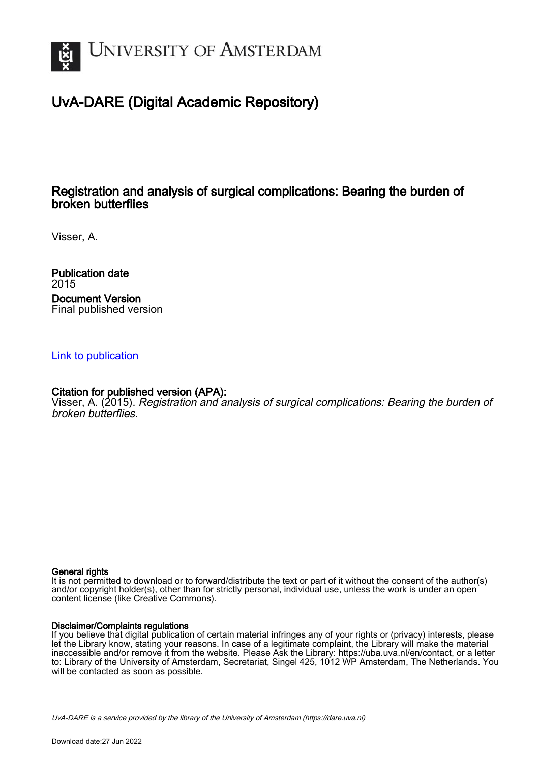

## UvA-DARE (Digital Academic Repository)

## Registration and analysis of surgical complications: Bearing the burden of broken butterflies

Visser, A.

Publication date 2015 Document Version Final published version

#### [Link to publication](https://dare.uva.nl/personal/pure/en/publications/registration-and-analysis-of-surgical-complications-bearing-the-burden-of-broken-butterflies(645cda4f-cca1-4ae3-8ad9-f6e18c31ac82).html)

#### Citation for published version (APA):

Visser, A. (2015). Registration and analysis of surgical complications: Bearing the burden of broken butterflies.

#### General rights

It is not permitted to download or to forward/distribute the text or part of it without the consent of the author(s) and/or copyright holder(s), other than for strictly personal, individual use, unless the work is under an open content license (like Creative Commons).

#### Disclaimer/Complaints regulations

If you believe that digital publication of certain material infringes any of your rights or (privacy) interests, please let the Library know, stating your reasons. In case of a legitimate complaint, the Library will make the material inaccessible and/or remove it from the website. Please Ask the Library: https://uba.uva.nl/en/contact, or a letter to: Library of the University of Amsterdam, Secretariat, Singel 425, 1012 WP Amsterdam, The Netherlands. You will be contacted as soon as possible.